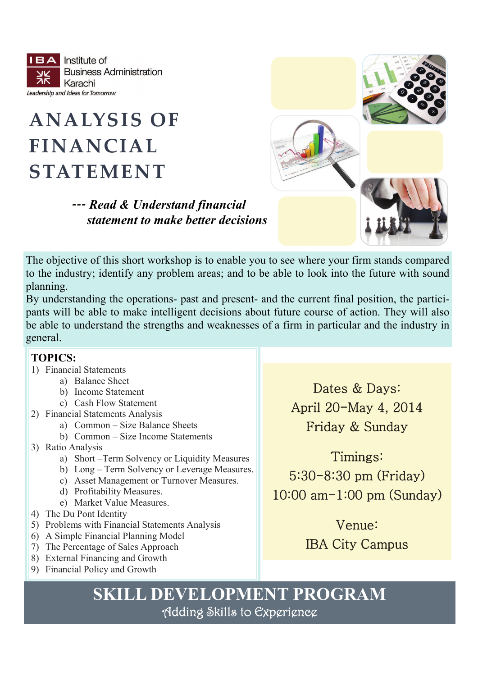Institute of  $BA$ **Business Administration** Karachi Leadership and Ideas for Tomorrow

### **ANALYSIS OF FINANCIAL STATEMENT**



 *‐‐‐ Read & Understand financial statement to make better decisions*

The objective of this short workshop is to enable you to see where your firm stands compared to the industry; identify any problem areas; and to be able to look into the future with sound planning.

By understanding the operations- past and present- and the current final position, the participants will be able to make intelligent decisions about future course of action. They will also be able to understand the strengths and weaknesses of a firm in particular and the industry in general.

#### **TOPICS:**

- 1) Financial Statements
	- a) Balance Sheet
	- b) Income Statement
	- c) Cash Flow Statement
- 2) Financial Statements Analysis
	- a) Common Size Balance Sheets
	- b) Common Size Income Statements
- 3) Ratio Analysis
	- a) Short –Term Solvency or Liquidity Measures
	- b) Long Term Solvency or Leverage Measures.
	- c) Asset Management or Turnover Measures.
	- d) Profitability Measures.
	- e) Market Value Measures.
- 4) The Du Pont Identity
- 5) Problems with Financial Statements Analysis
- 6) A Simple Financial Planning Model
- 7) The Percentage of Sales Approach
- 8) External Financing and Growth
- 9) Financial Policy and Growth

Dates & Days: April 20-May 4, 2014 Friday & Sunday

Timings: 5:30-8:30 pm (Friday) 10:00 am-1:00 pm (Sunday)

> Venue: IBA City Campus

# **SKILL DEVELOPMENT PROGRAM**<br>
Adding Skills to Experience